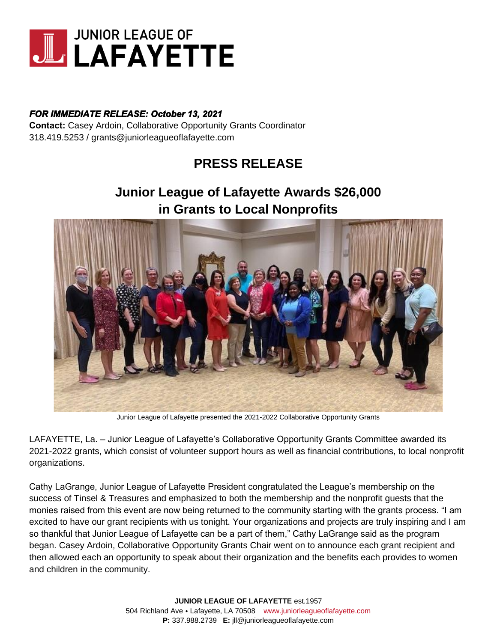

# *FOR IMMEDIATE RELEASE: October 13, 2021*

**Contact:** Casey Ardoin, Collaborative Opportunity Grants Coordinator 318.419.5253 / grants@juniorleagueoflafayette.com

# **PRESS RELEASE**

# **Junior League of Lafayette Awards \$26,000 in Grants to Local Nonprofits**



Junior League of Lafayette presented the 2021-2022 Collaborative Opportunity Grants

LAFAYETTE, La. – Junior League of Lafayette's Collaborative Opportunity Grants Committee awarded its 2021-2022 grants, which consist of volunteer support hours as well as financial contributions, to local nonprofit organizations.

Cathy LaGrange, Junior League of Lafayette President congratulated the League's membership on the success of Tinsel & Treasures and emphasized to both the membership and the nonprofit guests that the monies raised from this event are now being returned to the community starting with the grants process. "I am excited to have our grant recipients with us tonight. Your organizations and projects are truly inspiring and I am so thankful that Junior League of Lafayette can be a part of them," Cathy LaGrange said as the program began. Casey Ardoin, Collaborative Opportunity Grants Chair went on to announce each grant recipient and then allowed each an opportunity to speak about their organization and the benefits each provides to women and children in the community.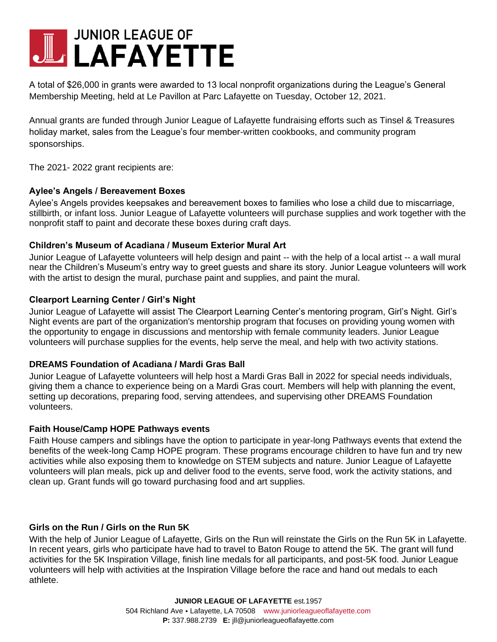# **JUNIOR LEAGUE OF** LAFAYETTE

A total of \$26,000 in grants were awarded to 13 local nonprofit organizations during the League's General Membership Meeting, held at Le Pavillon at Parc Lafayette on Tuesday, October 12, 2021.

Annual grants are funded through Junior League of Lafayette fundraising efforts such as Tinsel & Treasures holiday market, sales from the League's four member-written cookbooks, and community program sponsorships.

The 2021- 2022 grant recipients are:

### **Aylee's Angels / Bereavement Boxes**

Aylee's Angels provides keepsakes and bereavement boxes to families who lose a child due to miscarriage, stillbirth, or infant loss. Junior League of Lafayette volunteers will purchase supplies and work together with the nonprofit staff to paint and decorate these boxes during craft days.

# **Children's Museum of Acadiana / Museum Exterior Mural Art**

Junior League of Lafayette volunteers will help design and paint -- with the help of a local artist -- a wall mural near the Children's Museum's entry way to greet guests and share its story. Junior League volunteers will work with the artist to design the mural, purchase paint and supplies, and paint the mural.

### **Clearport Learning Center / Girl's Night**

Junior League of Lafayette will assist The Clearport Learning Center's mentoring program, Girl's Night. Girl's Night events are part of the organization's mentorship program that focuses on providing young women with the opportunity to engage in discussions and mentorship with female community leaders. Junior League volunteers will purchase supplies for the events, help serve the meal, and help with two activity stations.

# **DREAMS Foundation of Acadiana / Mardi Gras Ball**

Junior League of Lafayette volunteers will help host a Mardi Gras Ball in 2022 for special needs individuals, giving them a chance to experience being on a Mardi Gras court. Members will help with planning the event, setting up decorations, preparing food, serving attendees, and supervising other DREAMS Foundation volunteers.

### **Faith House/Camp HOPE Pathways events**

Faith House campers and siblings have the option to participate in year-long Pathways events that extend the benefits of the week-long Camp HOPE program. These programs encourage children to have fun and try new activities while also exposing them to knowledge on STEM subjects and nature. Junior League of Lafayette volunteers will plan meals, pick up and deliver food to the events, serve food, work the activity stations, and clean up. Grant funds will go toward purchasing food and art supplies.

# **Girls on the Run / Girls on the Run 5K**

With the help of Junior League of Lafayette, Girls on the Run will reinstate the Girls on the Run 5K in Lafayette. In recent years, girls who participate have had to travel to Baton Rouge to attend the 5K. The grant will fund activities for the 5K Inspiration Village, finish line medals for all participants, and post-5K food. Junior League volunteers will help with activities at the Inspiration Village before the race and hand out medals to each athlete.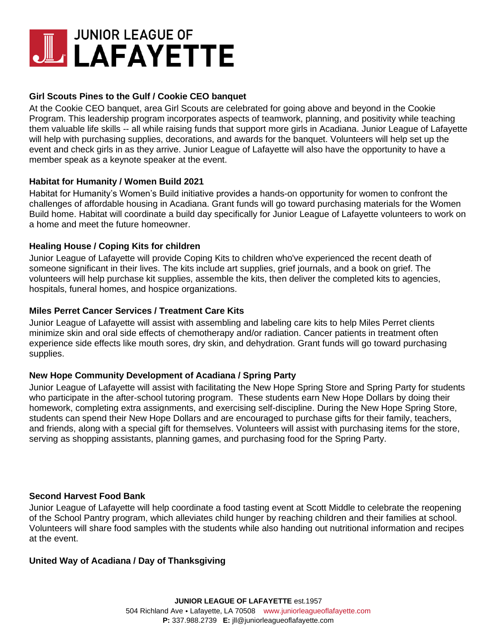# **JUNIOR LEAGUE OF UL LAFAYETTE**

# **Girl Scouts Pines to the Gulf / Cookie CEO banquet**

At the Cookie CEO banquet, area Girl Scouts are celebrated for going above and beyond in the Cookie Program. This leadership program incorporates aspects of teamwork, planning, and positivity while teaching them valuable life skills -- all while raising funds that support more girls in Acadiana. Junior League of Lafayette will help with purchasing supplies, decorations, and awards for the banquet. Volunteers will help set up the event and check girls in as they arrive. Junior League of Lafayette will also have the opportunity to have a member speak as a keynote speaker at the event.

### **Habitat for Humanity / Women Build 2021**

Habitat for Humanity's Women's Build initiative provides a hands-on opportunity for women to confront the challenges of affordable housing in Acadiana. Grant funds will go toward purchasing materials for the Women Build home. Habitat will coordinate a build day specifically for Junior League of Lafayette volunteers to work on a home and meet the future homeowner.

### **Healing House / Coping Kits for children**

Junior League of Lafayette will provide Coping Kits to children who've experienced the recent death of someone significant in their lives. The kits include art supplies, grief journals, and a book on grief. The volunteers will help purchase kit supplies, assemble the kits, then deliver the completed kits to agencies, hospitals, funeral homes, and hospice organizations.

### **Miles Perret Cancer Services / Treatment Care Kits**

Junior League of Lafayette will assist with assembling and labeling care kits to help Miles Perret clients minimize skin and oral side effects of chemotherapy and/or radiation. Cancer patients in treatment often experience side effects like mouth sores, dry skin, and dehydration. Grant funds will go toward purchasing supplies.

### **New Hope Community Development of Acadiana / Spring Party**

Junior League of Lafayette will assist with facilitating the New Hope Spring Store and Spring Party for students who participate in the after-school tutoring program. These students earn New Hope Dollars by doing their homework, completing extra assignments, and exercising self-discipline. During the New Hope Spring Store, students can spend their New Hope Dollars and are encouraged to purchase gifts for their family, teachers, and friends, along with a special gift for themselves. Volunteers will assist with purchasing items for the store, serving as shopping assistants, planning games, and purchasing food for the Spring Party.

### **Second Harvest Food Bank**

Junior League of Lafayette will help coordinate a food tasting event at Scott Middle to celebrate the reopening of the School Pantry program, which alleviates child hunger by reaching children and their families at school. Volunteers will share food samples with the students while also handing out nutritional information and recipes at the event.

### **United Way of Acadiana / Day of Thanksgiving**